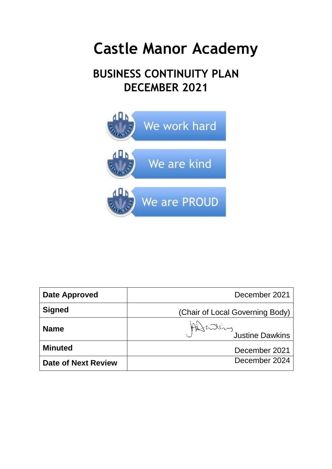# **Castle Manor Academy**

# **BUSINESS CONTINUITY PLAN DECEMBER 2021**



| Date Approved       | December 2021                   |
|---------------------|---------------------------------|
| <b>Signed</b>       | (Chair of Local Governing Body) |
| <b>Name</b>         | Addressine Dawkins              |
| <b>Minuted</b>      | December 2021                   |
| Date of Next Review | December 2024                   |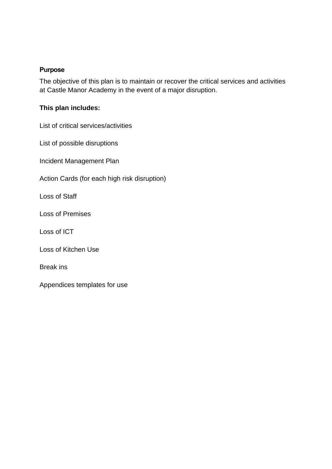#### **Purpose**

The objective of this plan is to maintain or recover the critical services and activities at Castle Manor Academy in the event of a major disruption.

#### **This plan includes:**

List of critical services/activities

List of possible disruptions

Incident Management Plan

Action Cards (for each high risk disruption)

Loss of Staff

Loss of Premises

Loss of ICT

Loss of Kitchen Use

Break ins

Appendices templates for use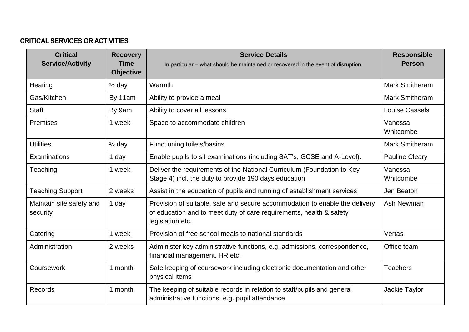#### **CRITICAL SERVICES OR ACTIVITIES**

| <b>Critical</b><br><b>Service/Activity</b> | <b>Recovery</b><br><b>Time</b><br><b>Objective</b> | <b>Service Details</b><br>In particular – what should be maintained or recovered in the event of disruption.                                                           | <b>Responsible</b><br><b>Person</b> |
|--------------------------------------------|----------------------------------------------------|------------------------------------------------------------------------------------------------------------------------------------------------------------------------|-------------------------------------|
| Heating                                    | $\frac{1}{2}$ day                                  | Warmth                                                                                                                                                                 | <b>Mark Smitheram</b>               |
| Gas/Kitchen                                | By 11am                                            | Ability to provide a meal                                                                                                                                              | <b>Mark Smitheram</b>               |
| <b>Staff</b>                               | By 9am                                             | Ability to cover all lessons                                                                                                                                           | Louise Cassels                      |
| Premises                                   | 1 week                                             | Space to accommodate children                                                                                                                                          | Vanessa<br>Whitcombe                |
| <b>Utilities</b>                           | $\frac{1}{2}$ day                                  | Functioning toilets/basins                                                                                                                                             | <b>Mark Smitheram</b>               |
| Examinations                               | 1 day                                              | Enable pupils to sit examinations (including SAT's, GCSE and A-Level).                                                                                                 | <b>Pauline Cleary</b>               |
| Teaching                                   | 1 week                                             | Deliver the requirements of the National Curriculum (Foundation to Key<br>Stage 4) incl. the duty to provide 190 days education                                        | Vanessa<br>Whitcombe                |
| <b>Teaching Support</b>                    | 2 weeks                                            | Assist in the education of pupils and running of establishment services                                                                                                | Jen Beaton                          |
| Maintain site safety and<br>security       | 1 day                                              | Provision of suitable, safe and secure accommodation to enable the delivery<br>of education and to meet duty of care requirements, health & safety<br>legislation etc. | Ash Newman                          |
| Catering                                   | 1 week                                             | Provision of free school meals to national standards                                                                                                                   | Vertas                              |
| Administration                             | 2 weeks                                            | Administer key administrative functions, e.g. admissions, correspondence,<br>financial management, HR etc.                                                             | Office team                         |
| Coursework                                 | 1 month                                            | Safe keeping of coursework including electronic documentation and other<br>physical items                                                                              | <b>Teachers</b>                     |
| Records                                    | 1 month                                            | The keeping of suitable records in relation to staff/pupils and general<br>administrative functions, e.g. pupil attendance                                             | Jackie Taylor                       |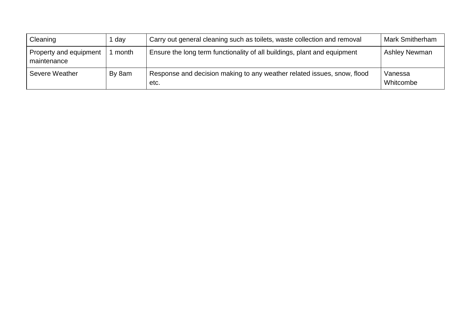| Cleaning                              | ∣ day  | Carry out general cleaning such as toilets, waste collection and removal        | <b>Mark Smitherham</b> |
|---------------------------------------|--------|---------------------------------------------------------------------------------|------------------------|
| Property and equipment<br>maintenance | month  | Ensure the long term functionality of all buildings, plant and equipment        | <b>Ashley Newman</b>   |
| Severe Weather                        | By 8am | Response and decision making to any weather related issues, snow, flood<br>etc. | Vanessa<br>Whitcombe   |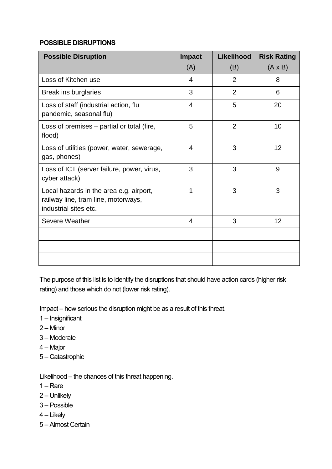#### **POSSIBLE DISRUPTIONS**

| <b>Possible Disruption</b>                                                                              | <b>Impact</b><br>(A) | Likelihood<br>(B) | <b>Risk Rating</b><br>$(A \times B)$ |
|---------------------------------------------------------------------------------------------------------|----------------------|-------------------|--------------------------------------|
| Loss of Kitchen use                                                                                     | 4                    | $\overline{2}$    | 8                                    |
| Break ins burglaries                                                                                    | 3                    | $\overline{2}$    | 6                                    |
| Loss of staff (industrial action, flu<br>pandemic, seasonal flu)                                        | $\overline{4}$       | 5                 | 20                                   |
| Loss of premises – partial or total (fire,<br>flood)                                                    | 5                    | $\overline{2}$    | 10                                   |
| Loss of utilities (power, water, sewerage,<br>gas, phones)                                              | $\overline{4}$       | 3                 | 12                                   |
| Loss of ICT (server failure, power, virus,<br>cyber attack)                                             | 3                    | 3                 | 9                                    |
| Local hazards in the area e.g. airport,<br>railway line, tram line, motorways,<br>industrial sites etc. | 1                    | 3                 | 3                                    |
| Severe Weather                                                                                          | $\overline{4}$       | 3                 | 12                                   |
|                                                                                                         |                      |                   |                                      |
|                                                                                                         |                      |                   |                                      |
|                                                                                                         |                      |                   |                                      |

The purpose of this list is to identify the disruptions that should have action cards (higher risk rating) and those which do not (lower risk rating).

Impact – how serious the disruption might be as a result of this threat.

- 1 Insignificant
- 2 Minor
- 3 Moderate
- 4 Major
- 5 Catastrophic

Likelihood – the chances of this threat happening.

- 1 Rare
- 2 Unlikely
- 3 Possible
- 4 Likely
- 5 Almost Certain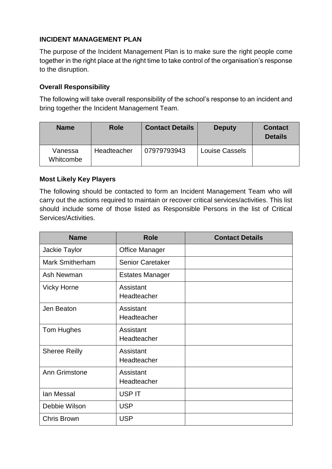#### **INCIDENT MANAGEMENT PLAN**

The purpose of the Incident Management Plan is to make sure the right people come together in the right place at the right time to take control of the organisation's response to the disruption.

#### **Overall Responsibility**

The following will take overall responsibility of the school's response to an incident and bring together the Incident Management Team.

| <b>Name</b>          | <b>Role</b> | <b>Contact Details</b> | <b>Deputy</b>         | <b>Contact</b><br><b>Details</b> |
|----------------------|-------------|------------------------|-----------------------|----------------------------------|
| Vanessa<br>Whitcombe | Headteacher | 07979793943            | <b>Louise Cassels</b> |                                  |

#### **Most Likely Key Players**

The following should be contacted to form an Incident Management Team who will carry out the actions required to maintain or recover critical services/activities. This list should include some of those listed as Responsible Persons in the list of Critical Services/Activities.

| <b>Name</b>            | <b>Role</b>              | <b>Contact Details</b> |
|------------------------|--------------------------|------------------------|
| Jackie Taylor          | <b>Office Manager</b>    |                        |
| <b>Mark Smitherham</b> | <b>Senior Caretaker</b>  |                        |
| Ash Newman             | <b>Estates Manager</b>   |                        |
| <b>Vicky Horne</b>     | Assistant<br>Headteacher |                        |
| Jen Beaton             | Assistant<br>Headteacher |                        |
| Tom Hughes             | Assistant<br>Headteacher |                        |
| <b>Sheree Reilly</b>   | Assistant<br>Headteacher |                        |
| Ann Grimstone          | Assistant<br>Headteacher |                        |
| lan Messal             | <b>USP IT</b>            |                        |
| Debbie Wilson          | <b>USP</b>               |                        |
| <b>Chris Brown</b>     | <b>USP</b>               |                        |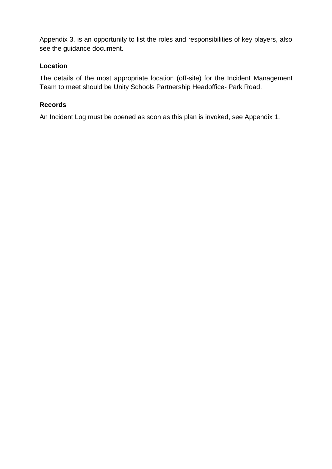Appendix 3. is an opportunity to list the roles and responsibilities of key players, also see the guidance document.

#### **Location**

The details of the most appropriate location (off-site) for the Incident Management Team to meet should be Unity Schools Partnership Headoffice- Park Road.

#### **Records**

An Incident Log must be opened as soon as this plan is invoked, see Appendix 1.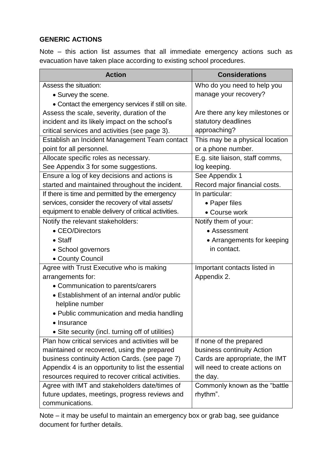#### **GENERIC ACTIONS**

Note – this action list assumes that all immediate emergency actions such as evacuation have taken place according to existing school procedures.

| <b>Action</b>                                        | <b>Considerations</b>           |
|------------------------------------------------------|---------------------------------|
| Assess the situation:                                | Who do you need to help you     |
| • Survey the scene.                                  | manage your recovery?           |
| • Contact the emergency services if still on site.   |                                 |
| Assess the scale, severity, duration of the          | Are there any key milestones or |
| incident and its likely impact on the school's       | statutory deadlines             |
| critical services and activities (see page 3).       | approaching?                    |
| Establish an Incident Management Team contact        | This may be a physical location |
| point for all personnel.                             | or a phone number.              |
| Allocate specific roles as necessary.                | E.g. site liaison, staff comms, |
| See Appendix 3 for some suggestions.                 | log keeping.                    |
| Ensure a log of key decisions and actions is         | See Appendix 1                  |
| started and maintained throughout the incident.      | Record major financial costs.   |
| If there is time and permitted by the emergency      | In particular:                  |
| services, consider the recovery of vital assets/     | • Paper files                   |
| equipment to enable delivery of critical activities. | • Course work                   |
| Notify the relevant stakeholders:                    | Notify them of your:            |
| • CEO/Directors                                      | • Assessment                    |
| $\bullet$ Staff                                      | • Arrangements for keeping      |
| • School governors                                   | in contact.                     |
| • County Council                                     |                                 |
| Agree with Trust Executive who is making             | Important contacts listed in    |
| arrangements for:                                    | Appendix 2.                     |
| • Communication to parents/carers                    |                                 |
| • Establishment of an internal and/or public         |                                 |
| helpline number                                      |                                 |
| • Public communication and media handling            |                                 |
| • Insurance                                          |                                 |
| • Site security (incl. turning off of utilities)     |                                 |
| Plan how critical services and activities will be    | If none of the prepared         |
| maintained or recovered, using the prepared          | business continuity Action      |
| business continuity Action Cards. (see page 7)       | Cards are appropriate, the IMT  |
| Appendix 4 is an opportunity to list the essential   | will need to create actions on  |
| resources required to recover critical activities.   | the day.                        |
| Agree with IMT and stakeholders date/times of        | Commonly known as the "battle"  |
| future updates, meetings, progress reviews and       | rhythm".                        |
| communications.                                      |                                 |

Note – it may be useful to maintain an emergency box or grab bag, see guidance document for further details.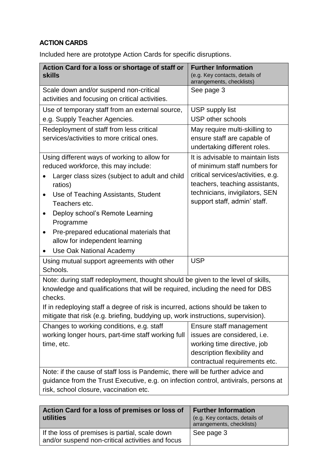## **ACTION CARDS**

Included here are prototype Action Cards for specific disruptions.

| Action Card for a loss or shortage of staff or<br><b>skills</b>                                                                                                                                                                                                   | <b>Further Information</b><br>(e.g. Key contacts, details of<br>arrangements, checklists)                                                                              |  |
|-------------------------------------------------------------------------------------------------------------------------------------------------------------------------------------------------------------------------------------------------------------------|------------------------------------------------------------------------------------------------------------------------------------------------------------------------|--|
| Scale down and/or suspend non-critical<br>activities and focusing on critical activities.                                                                                                                                                                         | See page 3                                                                                                                                                             |  |
| Use of temporary staff from an external source,                                                                                                                                                                                                                   | USP supply list                                                                                                                                                        |  |
| e.g. Supply Teacher Agencies.                                                                                                                                                                                                                                     | USP other schools                                                                                                                                                      |  |
| Redeployment of staff from less critical<br>services/activities to more critical ones.                                                                                                                                                                            | May require multi-skilling to<br>ensure staff are capable of<br>undertaking different roles.                                                                           |  |
| Using different ways of working to allow for                                                                                                                                                                                                                      | It is advisable to maintain lists                                                                                                                                      |  |
| reduced workforce, this may include:<br>Larger class sizes (subject to adult and child<br>ratios)<br>Use of Teaching Assistants, Student<br>Teachers etc.                                                                                                         | of minimum staff numbers for<br>critical services/activities, e.g.<br>teachers, teaching assistants,<br>technicians, invigilators, SEN<br>support staff, admin' staff. |  |
| Deploy school's Remote Learning<br>$\bullet$<br>Programme                                                                                                                                                                                                         |                                                                                                                                                                        |  |
| Pre-prepared educational materials that<br>$\bullet$<br>allow for independent learning                                                                                                                                                                            |                                                                                                                                                                        |  |
| Use Oak National Academy                                                                                                                                                                                                                                          |                                                                                                                                                                        |  |
| Using mutual support agreements with other<br>Schools.                                                                                                                                                                                                            | <b>USP</b>                                                                                                                                                             |  |
| Note: during staff redeployment, thought should be given to the level of skills,<br>knowledge and qualifications that will be required, including the need for DBS<br>checks.<br>If in redeploying staff a degree of risk is incurred, actions should be taken to |                                                                                                                                                                        |  |
| mitigate that risk (e.g. briefing, buddying up, work instructions, supervision).                                                                                                                                                                                  |                                                                                                                                                                        |  |
| Changes to working conditions, e.g. staff<br>working longer hours, part-time staff working full<br>time, etc.                                                                                                                                                     | Ensure staff management<br>issues are considered, i.e.<br>working time directive, job<br>description flexibility and<br>contractual requirements etc.                  |  |
| Note: if the cause of staff loss is Pandemic, there will be further advice and<br>guidance from the Trust Executive, e.g. on infection control, antivirals, persons at<br>risk, school closure, vaccination etc.                                                  |                                                                                                                                                                        |  |

| Action Card for a loss of premises or loss of<br>utilities                                         | <b>Further Information</b><br>(e.g. Key contacts, details of<br>arrangements, checklists) |
|----------------------------------------------------------------------------------------------------|-------------------------------------------------------------------------------------------|
| If the loss of premises is partial, scale down<br>and/or suspend non-critical activities and focus | See page 3                                                                                |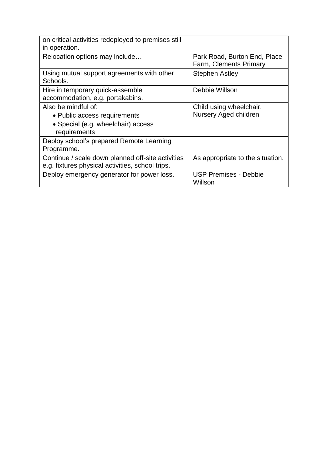| on critical activities redeployed to premises still<br>in operation.                                      |                                                        |
|-----------------------------------------------------------------------------------------------------------|--------------------------------------------------------|
| Relocation options may include                                                                            | Park Road, Burton End, Place<br>Farm, Clements Primary |
| Using mutual support agreements with other<br>Schools.                                                    | <b>Stephen Astley</b>                                  |
| Hire in temporary quick-assemble<br>accommodation, e.g. portakabins.                                      | Debbie Willson                                         |
| Also be mindful of:<br>• Public access requirements<br>• Special (e.g. wheelchair) access<br>requirements | Child using wheelchair,<br>Nursery Aged children       |
| Deploy school's prepared Remote Learning<br>Programme.                                                    |                                                        |
| Continue / scale down planned off-site activities<br>e.g. fixtures physical activities, school trips.     | As appropriate to the situation.                       |
| Deploy emergency generator for power loss.                                                                | <b>USP Premises - Debbie</b><br>Willson                |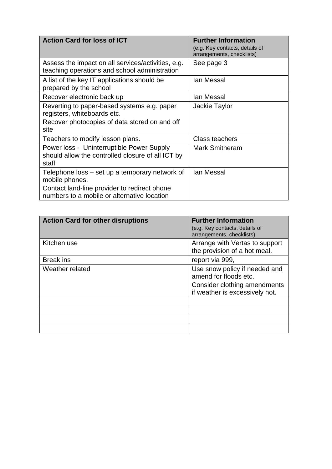| <b>Action Card for loss of ICT</b>                                                                                                                              | <b>Further Information</b><br>(e.g. Key contacts, details of<br>arrangements, checklists) |
|-----------------------------------------------------------------------------------------------------------------------------------------------------------------|-------------------------------------------------------------------------------------------|
| Assess the impact on all services/activities, e.g.<br>teaching operations and school administration                                                             | See page 3                                                                                |
| A list of the key IT applications should be<br>prepared by the school                                                                                           | lan Messal                                                                                |
| Recover electronic back up                                                                                                                                      | lan Messal                                                                                |
| Reverting to paper-based systems e.g. paper<br>registers, whiteboards etc.                                                                                      | Jackie Taylor                                                                             |
| Recover photocopies of data stored on and off<br>site                                                                                                           |                                                                                           |
| Teachers to modify lesson plans.                                                                                                                                | <b>Class teachers</b>                                                                     |
| Power loss - Uninterruptible Power Supply<br>should allow the controlled closure of all ICT by<br>staff                                                         | <b>Mark Smitheram</b>                                                                     |
| Telephone loss - set up a temporary network of<br>mobile phones.<br>Contact land-line provider to redirect phone<br>numbers to a mobile or alternative location | lan Messal                                                                                |

| <b>Action Card for other disruptions</b> | <b>Further Information</b><br>(e.g. Key contacts, details of<br>arrangements, checklists)                                |
|------------------------------------------|--------------------------------------------------------------------------------------------------------------------------|
| Kitchen use                              | Arrange with Vertas to support<br>the provision of a hot meal.                                                           |
| <b>Break ins</b>                         | report via 999,                                                                                                          |
| Weather related                          | Use snow policy if needed and<br>amend for floods etc.<br>Consider clothing amendments<br>if weather is excessively hot. |
|                                          |                                                                                                                          |
|                                          |                                                                                                                          |
|                                          |                                                                                                                          |
|                                          |                                                                                                                          |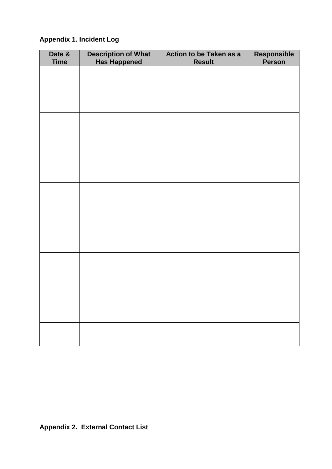### **Appendix 1. Incident Log**

| Date &<br><b>Time</b> | <b>Description of What<br/>Has Happened</b> | Action to be Taken as a<br><b>Result</b> | Responsible<br>Person |
|-----------------------|---------------------------------------------|------------------------------------------|-----------------------|
|                       |                                             |                                          |                       |
|                       |                                             |                                          |                       |
|                       |                                             |                                          |                       |
|                       |                                             |                                          |                       |
|                       |                                             |                                          |                       |
|                       |                                             |                                          |                       |
|                       |                                             |                                          |                       |
|                       |                                             |                                          |                       |
|                       |                                             |                                          |                       |
|                       |                                             |                                          |                       |
|                       |                                             |                                          |                       |
|                       |                                             |                                          |                       |
|                       |                                             |                                          |                       |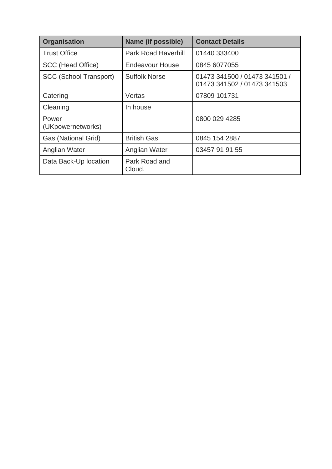| <b>Organisation</b>           | Name (if possible)         | <b>Contact Details</b>                                       |  |
|-------------------------------|----------------------------|--------------------------------------------------------------|--|
| <b>Trust Office</b>           | <b>Park Road Haverhill</b> | 01440 333400                                                 |  |
| SCC (Head Office)             | Endeavour House            | 0845 6077055                                                 |  |
| <b>SCC (School Transport)</b> | <b>Suffolk Norse</b>       | 01473 341500 / 01473 341501 /<br>01473 341502 / 01473 341503 |  |
| Catering                      | Vertas                     | 07809 101731                                                 |  |
| Cleaning                      | In house                   |                                                              |  |
| Power<br>(UKpowernetworks)    |                            | 0800 029 4285                                                |  |
| Gas (National Grid)           | <b>British Gas</b>         | 0845 154 2887                                                |  |
| Anglian Water                 | Anglian Water              | 03457 91 91 55                                               |  |
| Data Back-Up location         | Park Road and<br>Cloud.    |                                                              |  |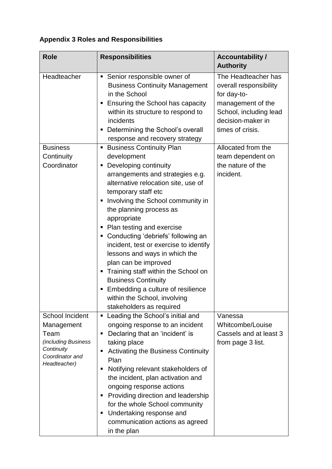# **Appendix 3 Roles and Responsibilities**

| <b>Role</b>                                                                                                          | <b>Responsibilities</b>                                                                                                                                                                                                                                                                                                                                                                                                                                                                                                                                                                                             | <b>Accountability /</b><br><b>Authority</b>                                                                                                          |
|----------------------------------------------------------------------------------------------------------------------|---------------------------------------------------------------------------------------------------------------------------------------------------------------------------------------------------------------------------------------------------------------------------------------------------------------------------------------------------------------------------------------------------------------------------------------------------------------------------------------------------------------------------------------------------------------------------------------------------------------------|------------------------------------------------------------------------------------------------------------------------------------------------------|
| Headteacher                                                                                                          | • Senior responsible owner of<br><b>Business Continuity Management</b><br>in the School<br>Ensuring the School has capacity<br>п<br>within its structure to respond to<br>incidents<br>Determining the School's overall<br>п<br>response and recovery strategy                                                                                                                                                                                                                                                                                                                                                      | The Headteacher has<br>overall responsibility<br>for day-to-<br>management of the<br>School, including lead<br>decision-maker in<br>times of crisis. |
| <b>Business</b><br>Continuity<br>Coordinator                                                                         | <b>Business Continuity Plan</b><br>п<br>development<br>Developing continuity<br>arrangements and strategies e.g.<br>alternative relocation site, use of<br>temporary staff etc<br>Involving the School community in<br>п<br>the planning process as<br>appropriate<br>Plan testing and exercise<br>Conducting 'debriefs' following an<br>п<br>incident, test or exercise to identify<br>lessons and ways in which the<br>plan can be improved<br>Training staff within the School on<br><b>Business Continuity</b><br>Embedding a culture of resilience<br>within the School, involving<br>stakeholders as required | Allocated from the<br>team dependent on<br>the nature of the<br>incident.                                                                            |
| <b>School Incident</b><br>Management<br>Team<br>(including Business<br>Continuity<br>Coordinator and<br>Headteacher) | Leading the School's initial and<br>п<br>ongoing response to an incident<br>Declaring that an 'incident' is<br>Е<br>taking place<br>Activating the Business Continuity<br>п<br>Plan<br>Notifying relevant stakeholders of<br>п<br>the incident, plan activation and<br>ongoing response actions<br>Providing direction and leadership<br>п<br>for the whole School community<br>Undertaking response and<br>п<br>communication actions as agreed<br>in the plan                                                                                                                                                     | Vanessa<br>Whitcombe/Louise<br>Cassels and at least 3<br>from page 3 list.                                                                           |